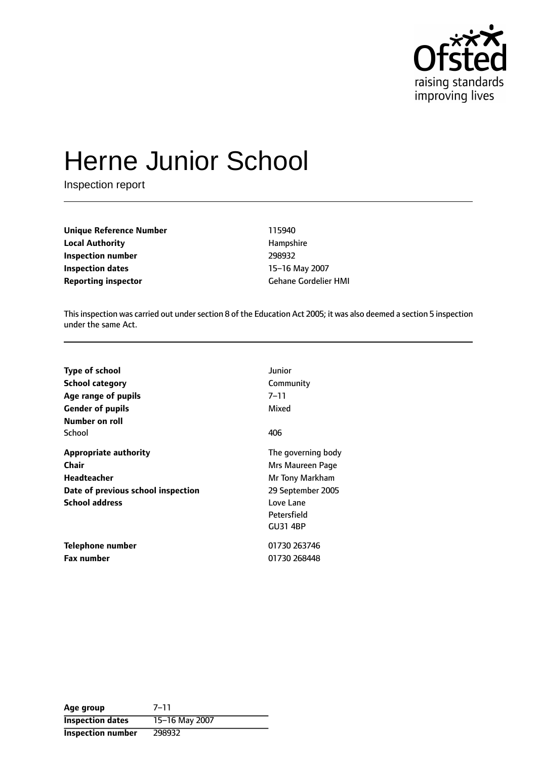

# Herne Junior School

Inspection report

**Unique Reference Number** 115940 **Local Authority Hampshire Inspection number** 298932 **Inspection dates** 15-16 May 2007 **Reporting inspector** Gehane Gordelier HMI

This inspection was carried out under section 8 of the Education Act 2005; it was also deemed a section 5 inspection under the same Act.

| <b>Type of school</b>              | Junior             |
|------------------------------------|--------------------|
| <b>School category</b>             | Community          |
| Age range of pupils                | 7–11               |
| <b>Gender of pupils</b>            | Mixed              |
| Number on roll                     |                    |
| School                             | 406                |
| <b>Appropriate authority</b>       | The governing body |
| <b>Chair</b>                       | Mrs Maureen Page   |
| Headteacher                        | Mr Tony Markham    |
| Date of previous school inspection | 29 September 2005  |
| <b>School address</b>              | Love Lane          |
|                                    | Petersfield        |
|                                    | <b>GU31 4BP</b>    |
| Telephone number                   | 01730 263746       |
| <b>Fax number</b>                  | 01730 268448       |

| Age group                | $7 - 11$       |
|--------------------------|----------------|
| <b>Inspection dates</b>  | 15-16 May 2007 |
| <b>Inspection number</b> | 298932         |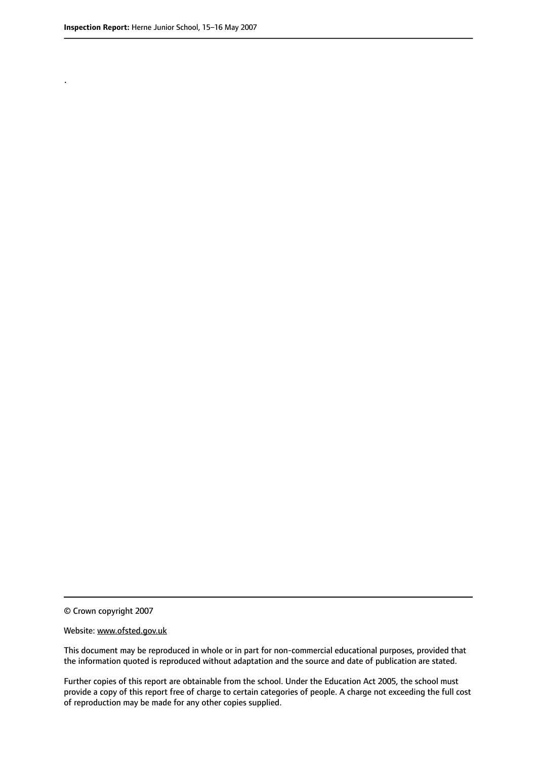.

© Crown copyright 2007

#### Website: www.ofsted.gov.uk

This document may be reproduced in whole or in part for non-commercial educational purposes, provided that the information quoted is reproduced without adaptation and the source and date of publication are stated.

Further copies of this report are obtainable from the school. Under the Education Act 2005, the school must provide a copy of this report free of charge to certain categories of people. A charge not exceeding the full cost of reproduction may be made for any other copies supplied.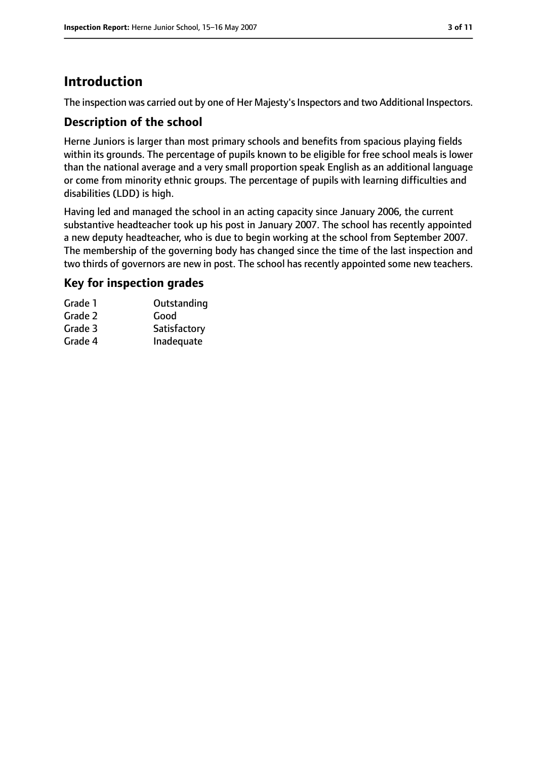# **Introduction**

The inspection was carried out by one of Her Majesty's Inspectors and two Additional Inspectors.

## **Description of the school**

Herne Juniors is larger than most primary schools and benefits from spacious playing fields within its grounds. The percentage of pupils known to be eligible for free school meals is lower than the national average and a very small proportion speak English as an additional language or come from minority ethnic groups. The percentage of pupils with learning difficulties and disabilities (LDD) is high.

Having led and managed the school in an acting capacity since January 2006, the current substantive headteacher took up his post in January 2007. The school has recently appointed a new deputy headteacher, who is due to begin working at the school from September 2007. The membership of the governing body has changed since the time of the last inspection and two thirds of governors are new in post. The school has recently appointed some new teachers.

## **Key for inspection grades**

| Grade 1 | Outstanding  |
|---------|--------------|
| Grade 2 | Good         |
| Grade 3 | Satisfactory |
| Grade 4 | Inadequate   |
|         |              |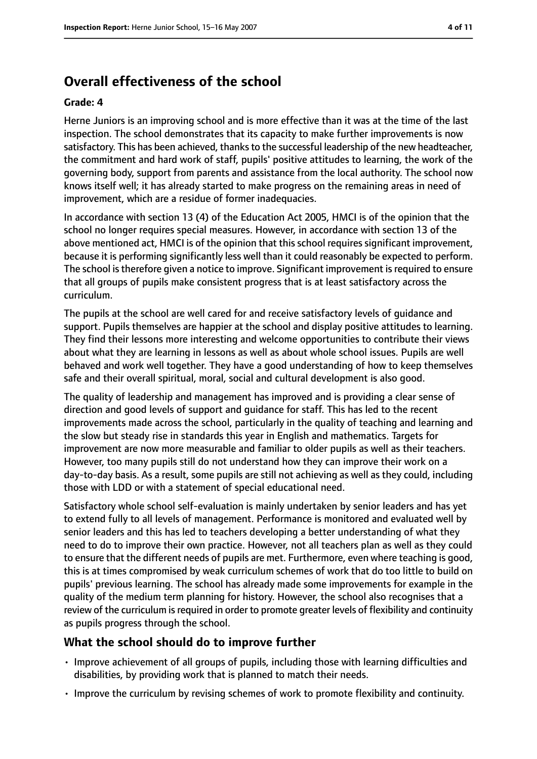# **Overall effectiveness of the school**

#### **Grade: 4**

Herne Juniors is an improving school and is more effective than it was at the time of the last inspection. The school demonstrates that its capacity to make further improvements is now satisfactory. This has been achieved, thanks to the successful leadership of the new headteacher, the commitment and hard work of staff, pupils' positive attitudes to learning, the work of the governing body, support from parents and assistance from the local authority. The school now knows itself well; it has already started to make progress on the remaining areas in need of improvement, which are a residue of former inadequacies.

In accordance with section 13 (4) of the Education Act 2005, HMCI is of the opinion that the school no longer requires special measures. However, in accordance with section 13 of the above mentioned act, HMCI is of the opinion that this school requires significant improvement, because it is performing significantly less well than it could reasonably be expected to perform. The school is therefore given a notice to improve. Significant improvement is required to ensure that all groups of pupils make consistent progress that is at least satisfactory across the curriculum.

The pupils at the school are well cared for and receive satisfactory levels of guidance and support. Pupils themselves are happier at the school and display positive attitudes to learning. They find their lessons more interesting and welcome opportunities to contribute their views about what they are learning in lessons as well as about whole school issues. Pupils are well behaved and work well together. They have a good understanding of how to keep themselves safe and their overall spiritual, moral, social and cultural development is also good.

The quality of leadership and management has improved and is providing a clear sense of direction and good levels of support and guidance for staff. This has led to the recent improvements made across the school, particularly in the quality of teaching and learning and the slow but steady rise in standards this year in English and mathematics. Targets for improvement are now more measurable and familiar to older pupils as well as their teachers. However, too many pupils still do not understand how they can improve their work on a day-to-day basis. As a result, some pupils are still not achieving as well as they could, including those with LDD or with a statement of special educational need.

Satisfactory whole school self-evaluation is mainly undertaken by senior leaders and has yet to extend fully to all levels of management. Performance is monitored and evaluated well by senior leaders and this has led to teachers developing a better understanding of what they need to do to improve their own practice. However, not all teachers plan as well as they could to ensure that the different needs of pupils are met. Furthermore, even where teaching is good, this is at times compromised by weak curriculum schemes of work that do too little to build on pupils' previous learning. The school has already made some improvements for example in the quality of the medium term planning for history. However, the school also recognises that a review of the curriculum is required in order to promote greater levels of flexibility and continuity as pupils progress through the school.

## **What the school should do to improve further**

- Improve achievement of all groups of pupils, including those with learning difficulties and disabilities, by providing work that is planned to match their needs.
- Improve the curriculum by revising schemes of work to promote flexibility and continuity.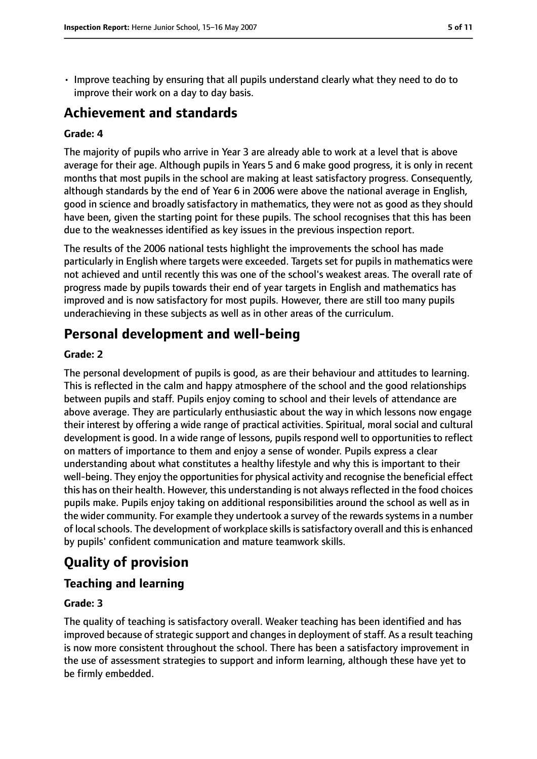• Improve teaching by ensuring that all pupils understand clearly what they need to do to improve their work on a day to day basis.

# **Achievement and standards**

### **Grade: 4**

The majority of pupils who arrive in Year 3 are already able to work at a level that is above average for their age. Although pupils in Years 5 and 6 make good progress, it is only in recent months that most pupils in the school are making at least satisfactory progress. Consequently, although standards by the end of Year 6 in 2006 were above the national average in English, good in science and broadly satisfactory in mathematics, they were not as good as they should have been, given the starting point for these pupils. The school recognises that this has been due to the weaknesses identified as key issues in the previous inspection report.

The results of the 2006 national tests highlight the improvements the school has made particularly in English where targets were exceeded. Targets set for pupils in mathematics were not achieved and until recently this was one of the school's weakest areas. The overall rate of progress made by pupils towards their end of year targets in English and mathematics has improved and is now satisfactory for most pupils. However, there are still too many pupils underachieving in these subjects as well as in other areas of the curriculum.

# **Personal development and well-being**

## **Grade: 2**

The personal development of pupils is good, as are their behaviour and attitudes to learning. This is reflected in the calm and happy atmosphere of the school and the good relationships between pupils and staff. Pupils enjoy coming to school and their levels of attendance are above average. They are particularly enthusiastic about the way in which lessons now engage their interest by offering a wide range of practical activities. Spiritual, moral social and cultural development is good. In a wide range of lessons, pupils respond well to opportunities to reflect on matters of importance to them and enjoy a sense of wonder. Pupils express a clear understanding about what constitutes a healthy lifestyle and why this is important to their well-being. They enjoy the opportunities for physical activity and recognise the beneficial effect this has on their health. However, this understanding is not always reflected in the food choices pupils make. Pupils enjoy taking on additional responsibilities around the school as well as in the wider community. For example they undertook a survey of the rewards systems in a number of local schools. The development of workplace skills is satisfactory overall and this is enhanced by pupils' confident communication and mature teamwork skills.

# **Quality of provision**

# **Teaching and learning**

## **Grade: 3**

The quality of teaching is satisfactory overall. Weaker teaching has been identified and has improved because of strategic support and changes in deployment of staff. As a result teaching is now more consistent throughout the school. There has been a satisfactory improvement in the use of assessment strategies to support and inform learning, although these have yet to be firmly embedded.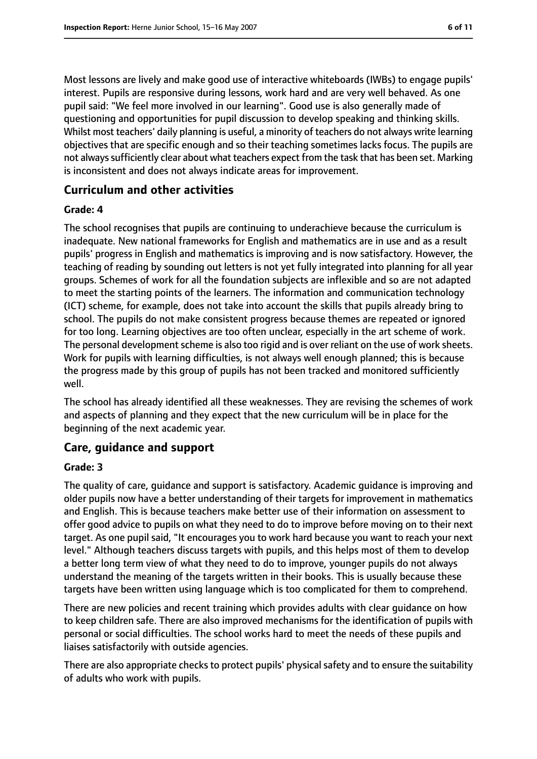Most lessons are lively and make good use of interactive whiteboards (IWBs) to engage pupils' interest. Pupils are responsive during lessons, work hard and are very well behaved. As one pupil said: "We feel more involved in our learning". Good use is also generally made of questioning and opportunities for pupil discussion to develop speaking and thinking skills. Whilst most teachers' daily planning is useful, a minority of teachers do not always write learning objectives that are specific enough and so their teaching sometimes lacks focus. The pupils are not always sufficiently clear about what teachers expect from the task that has been set. Marking is inconsistent and does not always indicate areas for improvement.

## **Curriculum and other activities**

#### **Grade: 4**

The school recognises that pupils are continuing to underachieve because the curriculum is inadequate. New national frameworks for English and mathematics are in use and as a result pupils' progress in English and mathematics is improving and is now satisfactory. However, the teaching of reading by sounding out letters is not yet fully integrated into planning for all year groups. Schemes of work for all the foundation subjects are inflexible and so are not adapted to meet the starting points of the learners. The information and communication technology (ICT) scheme, for example, does not take into account the skills that pupils already bring to school. The pupils do not make consistent progress because themes are repeated or ignored for too long. Learning objectives are too often unclear, especially in the art scheme of work. The personal development scheme is also too rigid and is over reliant on the use of work sheets. Work for pupils with learning difficulties, is not always well enough planned; this is because the progress made by this group of pupils has not been tracked and monitored sufficiently well.

The school has already identified all these weaknesses. They are revising the schemes of work and aspects of planning and they expect that the new curriculum will be in place for the beginning of the next academic year.

## **Care, guidance and support**

#### **Grade: 3**

The quality of care, guidance and support is satisfactory. Academic guidance is improving and older pupils now have a better understanding of their targets for improvement in mathematics and English. This is because teachers make better use of their information on assessment to offer good advice to pupils on what they need to do to improve before moving on to their next target. As one pupil said, "It encourages you to work hard because you want to reach your next level." Although teachers discuss targets with pupils, and this helps most of them to develop a better long term view of what they need to do to improve, younger pupils do not always understand the meaning of the targets written in their books. This is usually because these targets have been written using language which is too complicated for them to comprehend.

There are new policies and recent training which provides adults with clear guidance on how to keep children safe. There are also improved mechanisms for the identification of pupils with personal or social difficulties. The school works hard to meet the needs of these pupils and liaises satisfactorily with outside agencies.

There are also appropriate checks to protect pupils' physical safety and to ensure the suitability of adults who work with pupils.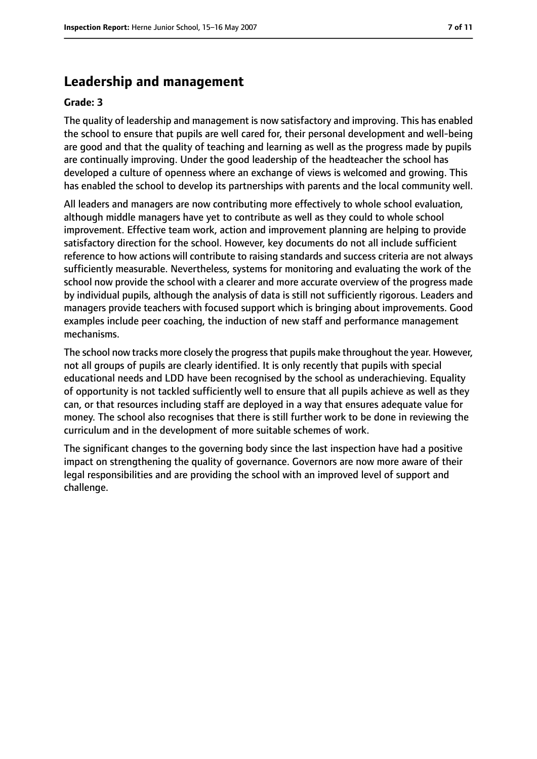# **Leadership and management**

#### **Grade: 3**

The quality of leadership and management is now satisfactory and improving. This has enabled the school to ensure that pupils are well cared for, their personal development and well-being are good and that the quality of teaching and learning as well as the progress made by pupils are continually improving. Under the good leadership of the headteacher the school has developed a culture of openness where an exchange of views is welcomed and growing. This has enabled the school to develop its partnerships with parents and the local community well.

All leaders and managers are now contributing more effectively to whole school evaluation, although middle managers have yet to contribute as well as they could to whole school improvement. Effective team work, action and improvement planning are helping to provide satisfactory direction for the school. However, key documents do not all include sufficient reference to how actions will contribute to raising standards and success criteria are not always sufficiently measurable. Nevertheless, systems for monitoring and evaluating the work of the school now provide the school with a clearer and more accurate overview of the progress made by individual pupils, although the analysis of data is still not sufficiently rigorous. Leaders and managers provide teachers with focused support which is bringing about improvements. Good examples include peer coaching, the induction of new staff and performance management mechanisms.

The school now tracks more closely the progressthat pupils make throughout the year. However, not all groups of pupils are clearly identified. It is only recently that pupils with special educational needs and LDD have been recognised by the school as underachieving. Equality of opportunity is not tackled sufficiently well to ensure that all pupils achieve as well as they can, or that resources including staff are deployed in a way that ensures adequate value for money. The school also recognises that there is still further work to be done in reviewing the curriculum and in the development of more suitable schemes of work.

The significant changes to the governing body since the last inspection have had a positive impact on strengthening the quality of governance. Governors are now more aware of their legal responsibilities and are providing the school with an improved level of support and challenge.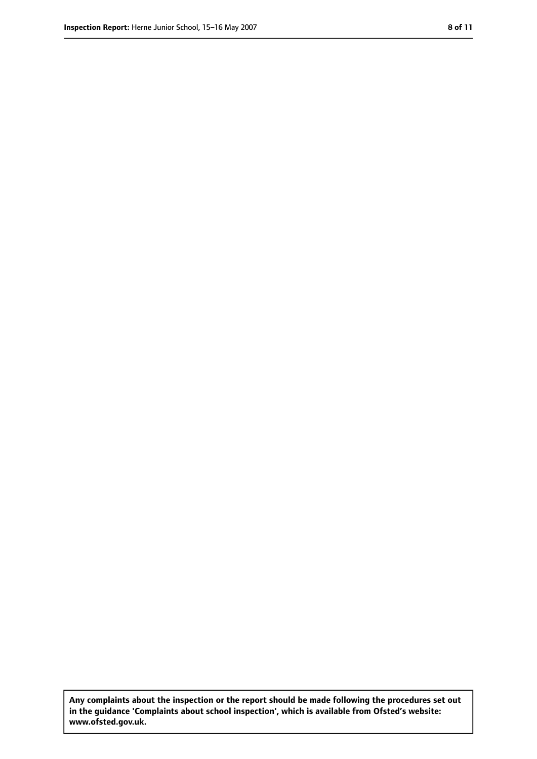**Any complaints about the inspection or the report should be made following the procedures set out in the guidance 'Complaints about school inspection', which is available from Ofsted's website: www.ofsted.gov.uk.**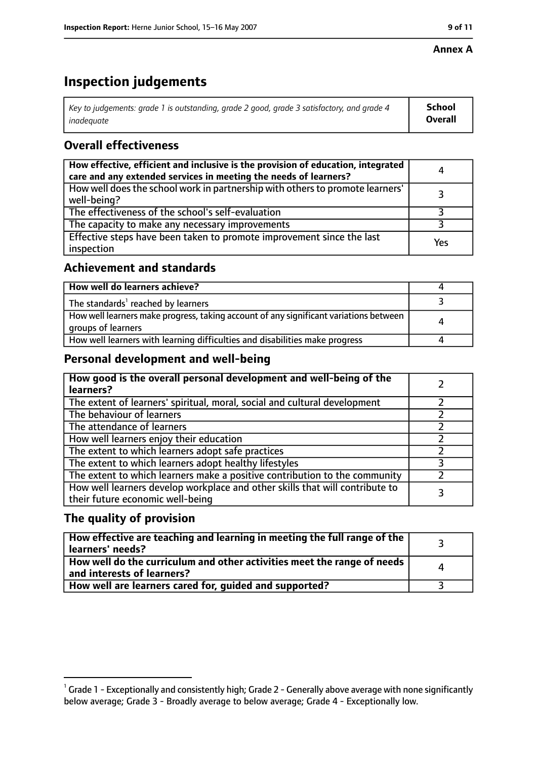#### **Annex A**

# **Inspection judgements**

| Key to judgements: grade 1 is outstanding, grade 2 good, grade 3 satisfactory, and grade 4 $\,$ | <b>School</b>  |
|-------------------------------------------------------------------------------------------------|----------------|
| inadequate                                                                                      | <b>Overall</b> |

# **Overall effectiveness**

| How effective, efficient and inclusive is the provision of education, integrated<br>care and any extended services in meeting the needs of learners? | 4   |
|------------------------------------------------------------------------------------------------------------------------------------------------------|-----|
| How well does the school work in partnership with others to promote learners'<br>well-being?                                                         |     |
| The effectiveness of the school's self-evaluation                                                                                                    |     |
| The capacity to make any necessary improvements                                                                                                      |     |
| Effective steps have been taken to promote improvement since the last<br>inspection                                                                  | Yes |

## **Achievement and standards**

| How well do learners achieve?                                                                               |  |
|-------------------------------------------------------------------------------------------------------------|--|
| The standards <sup>1</sup> reached by learners                                                              |  |
| How well learners make progress, taking account of any significant variations between<br>groups of learners |  |
| How well learners with learning difficulties and disabilities make progress                                 |  |

## **Personal development and well-being**

| How good is the overall personal development and well-being of the<br>learners?                                  |  |
|------------------------------------------------------------------------------------------------------------------|--|
| The extent of learners' spiritual, moral, social and cultural development                                        |  |
| The behaviour of learners                                                                                        |  |
| The attendance of learners                                                                                       |  |
| How well learners enjoy their education                                                                          |  |
| The extent to which learners adopt safe practices                                                                |  |
| The extent to which learners adopt healthy lifestyles                                                            |  |
| The extent to which learners make a positive contribution to the community                                       |  |
| How well learners develop workplace and other skills that will contribute to<br>their future economic well-being |  |

# **The quality of provision**

| How effective are teaching and learning in meeting the full range of the<br>learners' needs?          |   |
|-------------------------------------------------------------------------------------------------------|---|
| How well do the curriculum and other activities meet the range of needs<br>and interests of learners? | Δ |
| How well are learners cared for, quided and supported?                                                |   |

 $^1$  Grade 1 - Exceptionally and consistently high; Grade 2 - Generally above average with none significantly below average; Grade 3 - Broadly average to below average; Grade 4 - Exceptionally low.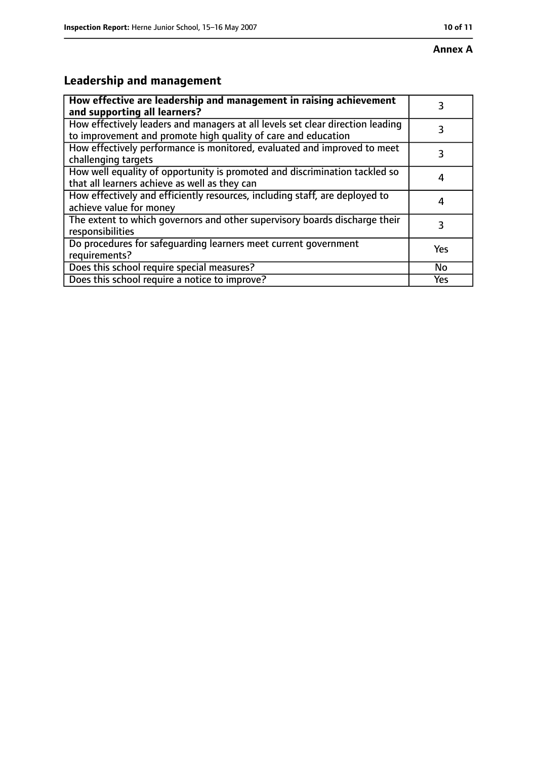# **Leadership and management**

| How effective are leadership and management in raising achievement<br>and supporting all learners?                                              | 3   |
|-------------------------------------------------------------------------------------------------------------------------------------------------|-----|
| How effectively leaders and managers at all levels set clear direction leading<br>to improvement and promote high quality of care and education |     |
| How effectively performance is monitored, evaluated and improved to meet<br>challenging targets                                                 | 3   |
| How well equality of opportunity is promoted and discrimination tackled so<br>that all learners achieve as well as they can                     |     |
| How effectively and efficiently resources, including staff, are deployed to<br>achieve value for money                                          | 4   |
| The extent to which governors and other supervisory boards discharge their<br>responsibilities                                                  | 3   |
| Do procedures for safequarding learners meet current government<br>requirements?                                                                | Yes |
| Does this school require special measures?                                                                                                      | No  |
| Does this school require a notice to improve?                                                                                                   | Yes |